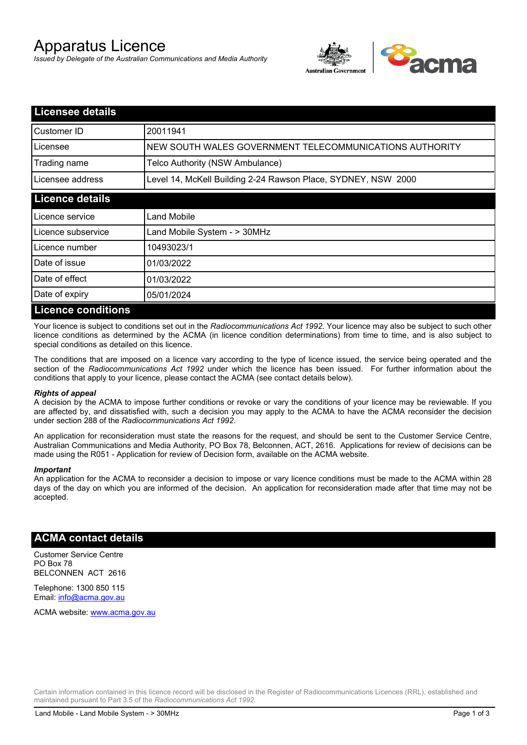# Apparatus Licence

*Issued by Delegate of the Australian Communications and Media Authority*



| <b>Licensee details</b>   |                                                               |
|---------------------------|---------------------------------------------------------------|
| Customer ID               | 20011941                                                      |
| Licensee                  | NEW SOUTH WALES GOVERNMENT TELECOMMUNICATIONS AUTHORITY       |
| Trading name              | Telco Authority (NSW Ambulance)                               |
| Licensee address          | Level 14, McKell Building 2-24 Rawson Place, SYDNEY, NSW 2000 |
| <b>Licence details</b>    |                                                               |
| l Licence service         | Land Mobile                                                   |
| Licence subservice        | Land Mobile System - > 30MHz                                  |
| Licence number            | 10493023/1                                                    |
| Date of issue             | 01/03/2022                                                    |
| Date of effect            | 01/03/2022                                                    |
| Date of expiry            | 05/01/2024                                                    |
| <b>Licence conditions</b> |                                                               |

Your licence is subject to conditions set out in the *Radiocommunications Act 1992*. Your licence may also be subject to such other licence conditions as determined by the ACMA (in licence condition determinations) from time to time, and is also subject to special conditions as detailed on this licence.

The conditions that are imposed on a licence vary according to the type of licence issued, the service being operated and the section of the *Radiocommunications Act 1992* under which the licence has been issued. For further information about the conditions that apply to your licence, please contact the ACMA (see contact details below).

#### *Rights of appeal*

A decision by the ACMA to impose further conditions or revoke or vary the conditions of your licence may be reviewable. If you are affected by, and dissatisfied with, such a decision you may apply to the ACMA to have the ACMA reconsider the decision under section 288 of the *Radiocommunications Act 1992*.

An application for reconsideration must state the reasons for the request, and should be sent to the Customer Service Centre, Australian Communications and Media Authority, PO Box 78, Belconnen, ACT, 2616. Applications for review of decisions can be made using the R051 - Application for review of Decision form, available on the ACMA website.

#### *Important*

An application for the ACMA to reconsider a decision to impose or vary licence conditions must be made to the ACMA within 28 days of the day on which you are informed of the decision. An application for reconsideration made after that time may not be accepted.

### **ACMA contact details**

Customer Service Centre PO Box 78 BELCONNEN ACT 2616

Telephone: 1300 850 115 Email: info@acma.gov.au

ACMA website: www.acma.gov.au

Certain information contained in this licence record will be disclosed in the Register of Radiocommunications Licences (RRL), established and maintained pursuant to Part 3.5 of the *Radiocommunications Act 1992.*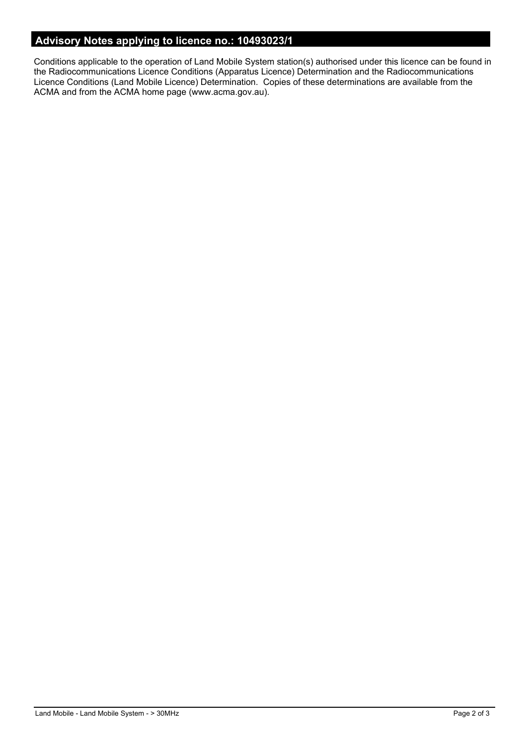# **Advisory Notes applying to licence no.: 10493023/1**

Conditions applicable to the operation of Land Mobile System station(s) authorised under this licence can be found in the Radiocommunications Licence Conditions (Apparatus Licence) Determination and the Radiocommunications Licence Conditions (Land Mobile Licence) Determination. Copies of these determinations are available from the ACMA and from the ACMA home page (www.acma.gov.au).